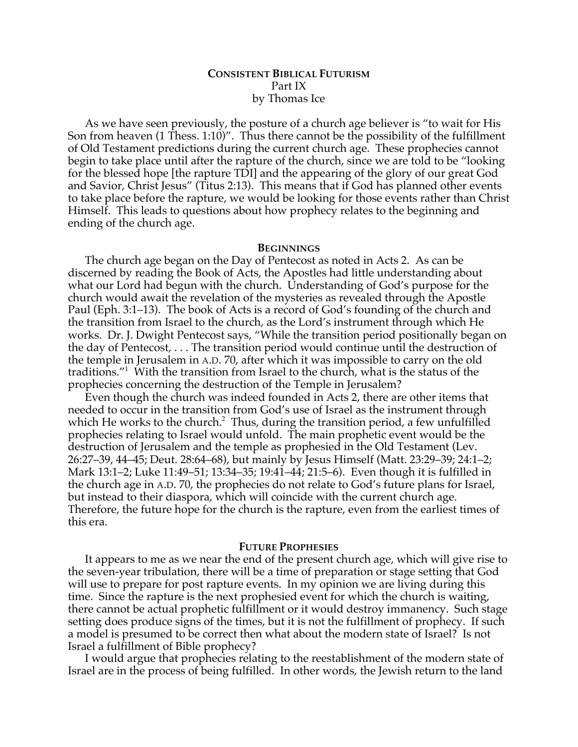# **CONSISTENT BIBLICAL FUTURISM** Part IX by Thomas Ice

As we have seen previously, the posture of a church age believer is "to wait for His Son from heaven (1 Thess. 1:10)". Thus there cannot be the possibility of the fulfillment of Old Testament predictions during the current church age. These prophecies cannot begin to take place until after the rapture of the church, since we are told to be "looking for the blessed hope [the rapture TDI] and the appearing of the glory of our great God and Savior, Christ Jesus" (Titus 2:13). This means that if God has planned other events to take place before the rapture, we would be looking for those events rather than Christ Himself. This leads to questions about how prophecy relates to the beginning and ending of the church age.

#### **BEGINNINGS**

The church age began on the Day of Pentecost as noted in Acts 2. As can be discerned by reading the Book of Acts, the Apostles had little understanding about what our Lord had begun with the church. Understanding of God's purpose for the church would await the revelation of the mysteries as revealed through the Apostle Paul (Eph. 3:1–13). The book of Acts is a record of God's founding of the church and the transition from Israel to the church, as the Lord's instrument through which He works. Dr. J. Dwight Pentecost says, "While the transition period positionally began on the day of Pentecost, . . . The transition period would continue until the destruction of the temple in Jerusalem in A.D. 70, after which it was impossible to carry on the old traditions."1 With the transition from Israel to the church, what is the status of the prophecies concerning the destruction of the Temple in Jerusalem?

Even though the church was indeed founded in Acts 2, there are other items that needed to occur in the transition from God's use of Israel as the instrument through which He works to the church.<sup>2</sup> Thus, during the transition period, a few unfulfilled prophecies relating to Israel would unfold. The main prophetic event would be the destruction of Jerusalem and the temple as prophesied in the Old Testament (Lev. 26:27–39, 44–45; Deut. 28:64–68), but mainly by Jesus Himself (Matt. 23:29–39; 24:1–2; Mark 13:1–2; Luke 11:49–51; 13:34–35; 19:41–44; 21:5–6). Even though it is fulfilled in the church age in A.D. 70, the prophecies do not relate to God's future plans for Israel, but instead to their diaspora, which will coincide with the current church age. Therefore, the future hope for the church is the rapture, even from the earliest times of this era.

## **FUTURE PROPHESIES**

It appears to me as we near the end of the present church age, which will give rise to the seven-year tribulation, there will be a time of preparation or stage setting that God will use to prepare for post rapture events. In my opinion we are living during this time. Since the rapture is the next prophesied event for which the church is waiting, there cannot be actual prophetic fulfillment or it would destroy immanency. Such stage setting does produce signs of the times, but it is not the fulfillment of prophecy. If such a model is presumed to be correct then what about the modern state of Israel? Is not Israel a fulfillment of Bible prophecy?

I would argue that prophecies relating to the reestablishment of the modern state of Israel are in the process of being fulfilled. In other words, the Jewish return to the land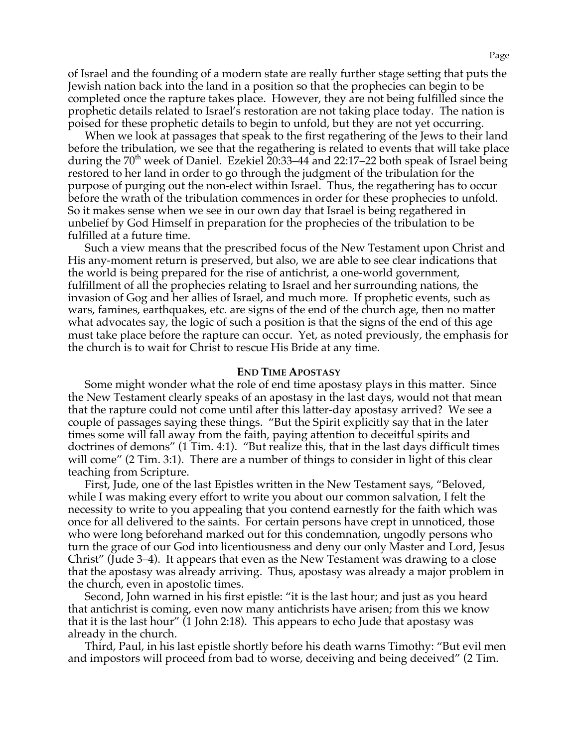of Israel and the founding of a modern state are really further stage setting that puts the Jewish nation back into the land in a position so that the prophecies can begin to be completed once the rapture takes place. However, they are not being fulfilled since the prophetic details related to Israel's restoration are not taking place today. The nation is poised for these prophetic details to begin to unfold, but they are not yet occurring.

When we look at passages that speak to the first regathering of the Jews to their land before the tribulation, we see that the regathering is related to events that will take place during the  $70<sup>th</sup>$  week of Daniel. Ezekiel 20:33–44 and 22:17–22 both speak of Israel being restored to her land in order to go through the judgment of the tribulation for the purpose of purging out the non-elect within Israel. Thus, the regathering has to occur before the wrath of the tribulation commences in order for these prophecies to unfold. So it makes sense when we see in our own day that Israel is being regathered in unbelief by God Himself in preparation for the prophecies of the tribulation to be fulfilled at a future time.

Such a view means that the prescribed focus of the New Testament upon Christ and His any-moment return is preserved, but also, we are able to see clear indications that the world is being prepared for the rise of antichrist, a one-world government, fulfillment of all the prophecies relating to Israel and her surrounding nations, the invasion of Gog and her allies of Israel, and much more. If prophetic events, such as wars, famines, earthquakes, etc. are signs of the end of the church age, then no matter what advocates say, the logic of such a position is that the signs of the end of this age must take place before the rapture can occur. Yet, as noted previously, the emphasis for the church is to wait for Christ to rescue His Bride at any time.

### **END TIME APOSTASY**

Some might wonder what the role of end time apostasy plays in this matter. Since the New Testament clearly speaks of an apostasy in the last days, would not that mean that the rapture could not come until after this latter-day apostasy arrived? We see a couple of passages saying these things. "But the Spirit explicitly say that in the later times some will fall away from the faith, paying attention to deceitful spirits and doctrines of demons" (1 Tim. 4:1). "But realize this, that in the last days difficult times will come" (2 Tim. 3:1). There are a number of things to consider in light of this clear teaching from Scripture.

First, Jude, one of the last Epistles written in the New Testament says, "Beloved, while I was making every effort to write you about our common salvation, I felt the necessity to write to you appealing that you contend earnestly for the faith which was once for all delivered to the saints. For certain persons have crept in unnoticed, those who were long beforehand marked out for this condemnation, ungodly persons who turn the grace of our God into licentiousness and deny our only Master and Lord, Jesus Christ" (Jude 3–4). It appears that even as the New Testament was drawing to a close that the apostasy was already arriving. Thus, apostasy was already a major problem in the church, even in apostolic times.

Second, John warned in his first epistle: "it is the last hour; and just as you heard that antichrist is coming, even now many antichrists have arisen; from this we know that it is the last hour" (1 John 2:18). This appears to echo Jude that apostasy was already in the church.

Third, Paul, in his last epistle shortly before his death warns Timothy: "But evil men and impostors will proceed from bad to worse, deceiving and being deceived" (2 Tim.